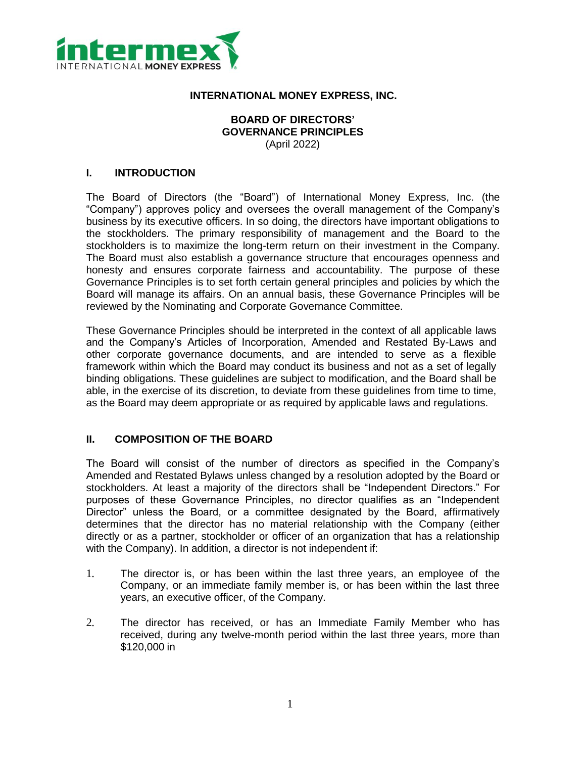

### **INTERNATIONAL MONEY EXPRESS, INC.**

## **BOARD OF DIRECTORS' GOVERNANCE PRINCIPLES** (April 2022)

#### **I. INTRODUCTION**

The Board of Directors (the "Board") of International Money Express, Inc. (the "Company") approves policy and oversees the overall management of the Company's business by its executive officers. In so doing, the directors have important obligations to the stockholders. The primary responsibility of management and the Board to the stockholders is to maximize the long-term return on their investment in the Company. The Board must also establish a governance structure that encourages openness and honesty and ensures corporate fairness and accountability. The purpose of these Governance Principles is to set forth certain general principles and policies by which the Board will manage its affairs. On an annual basis, these Governance Principles will be reviewed by the Nominating and Corporate Governance Committee.

These Governance Principles should be interpreted in the context of all applicable laws and the Company's Articles of Incorporation, Amended and Restated By-Laws and other corporate governance documents, and are intended to serve as a flexible framework within which the Board may conduct its business and not as a set of legally binding obligations. These guidelines are subject to modification, and the Board shall be able, in the exercise of its discretion, to deviate from these guidelines from time to time, as the Board may deem appropriate or as required by applicable laws and regulations.

## **II. COMPOSITION OF THE BOARD**

The Board will consist of the number of directors as specified in the Company's Amended and Restated Bylaws unless changed by a resolution adopted by the Board or stockholders. At least a majority of the directors shall be "Independent Directors." For purposes of these Governance Principles, no director qualifies as an "Independent Director" unless the Board, or a committee designated by the Board, affirmatively determines that the director has no material relationship with the Company (either directly or as a partner, stockholder or officer of an organization that has a relationship with the Company). In addition, a director is not independent if:

- 1. The director is, or has been within the last three years, an employee of the Company, or an immediate family member is, or has been within the last three years, an executive officer, of the Company.
- 2. The director has received, or has an Immediate Family Member who has received, during any twelve-month period within the last three years, more than \$120,000 in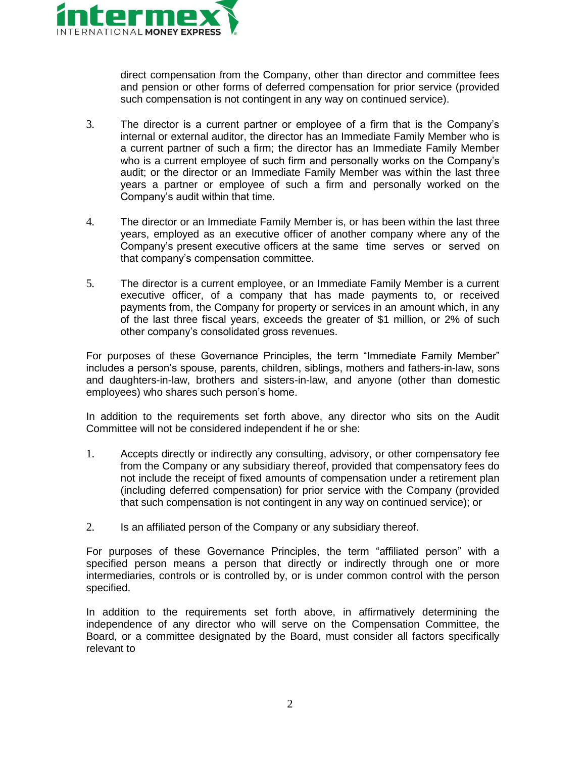

direct compensation from the Company, other than director and committee fees and pension or other forms of deferred compensation for prior service (provided such compensation is not contingent in any way on continued service).

- 3. The director is a current partner or employee of a firm that is the Company's internal or external auditor, the director has an Immediate Family Member who is a current partner of such a firm; the director has an Immediate Family Member who is a current employee of such firm and personally works on the Company's audit; or the director or an Immediate Family Member was within the last three years a partner or employee of such a firm and personally worked on the Company's audit within that time.
- 4. The director or an Immediate Family Member is, or has been within the last three years, employed as an executive officer of another company where any of the Company's present executive officers at the same time serves or served on that company's compensation committee.
- 5. The director is a current employee, or an Immediate Family Member is a current executive officer, of a company that has made payments to, or received payments from, the Company for property or services in an amount which, in any of the last three fiscal years, exceeds the greater of \$1 million, or 2% of such other company's consolidated gross revenues.

For purposes of these Governance Principles, the term "Immediate Family Member" includes a person's spouse, parents, children, siblings, mothers and fathers-in-law, sons and daughters-in-law, brothers and sisters-in-law, and anyone (other than domestic employees) who shares such person's home.

In addition to the requirements set forth above, any director who sits on the Audit Committee will not be considered independent if he or she:

- 1. Accepts directly or indirectly any consulting, advisory, or other compensatory fee from the Company or any subsidiary thereof, provided that compensatory fees do not include the receipt of fixed amounts of compensation under a retirement plan (including deferred compensation) for prior service with the Company (provided that such compensation is not contingent in any way on continued service); or
- 2. Is an affiliated person of the Company or any subsidiary thereof.

For purposes of these Governance Principles, the term "affiliated person" with a specified person means a person that directly or indirectly through one or more intermediaries, controls or is controlled by, or is under common control with the person specified.

In addition to the requirements set forth above, in affirmatively determining the independence of any director who will serve on the Compensation Committee, the Board, or a committee designated by the Board, must consider all factors specifically relevant to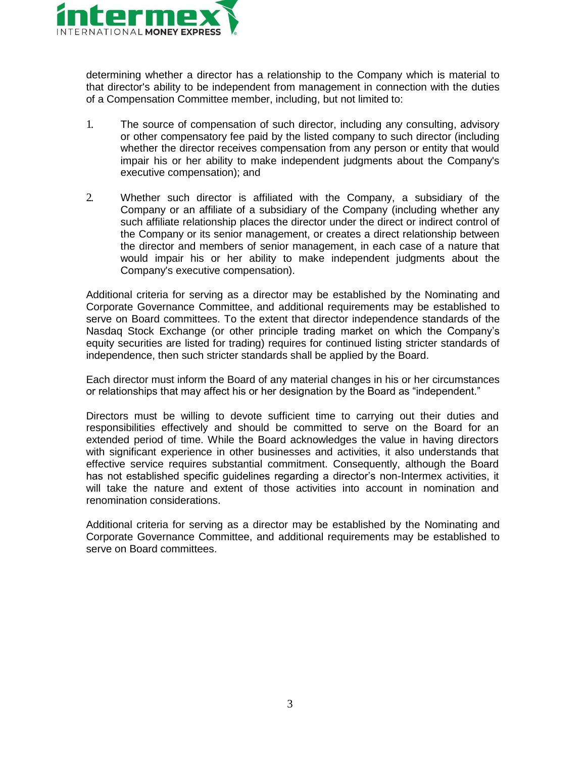

determining whether a director has a relationship to the Company which is material to that director's ability to be independent from management in connection with the duties of a Compensation Committee member, including, but not limited to:

- 1. The source of compensation of such director, including any consulting, advisory or other compensatory fee paid by the listed company to such director (including whether the director receives compensation from any person or entity that would impair his or her ability to make independent judgments about the Company's executive compensation); and
- 2. Whether such director is affiliated with the Company, a subsidiary of the Company or an affiliate of a subsidiary of the Company (including whether any such affiliate relationship places the director under the direct or indirect control of the Company or its senior management, or creates a direct relationship between the director and members of senior management, in each case of a nature that would impair his or her ability to make independent judgments about the Company's executive compensation).

Additional criteria for serving as a director may be established by the Nominating and Corporate Governance Committee, and additional requirements may be established to serve on Board committees. To the extent that director independence standards of the Nasdaq Stock Exchange (or other principle trading market on which the Company's equity securities are listed for trading) requires for continued listing stricter standards of independence, then such stricter standards shall be applied by the Board.

Each director must inform the Board of any material changes in his or her circumstances or relationships that may affect his or her designation by the Board as "independent."

Directors must be willing to devote sufficient time to carrying out their duties and responsibilities effectively and should be committed to serve on the Board for an extended period of time. While the Board acknowledges the value in having directors with significant experience in other businesses and activities, it also understands that effective service requires substantial commitment. Consequently, although the Board has not established specific guidelines regarding a director's non-Intermex activities, it will take the nature and extent of those activities into account in nomination and renomination considerations.

Additional criteria for serving as a director may be established by the Nominating and Corporate Governance Committee, and additional requirements may be established to serve on Board committees.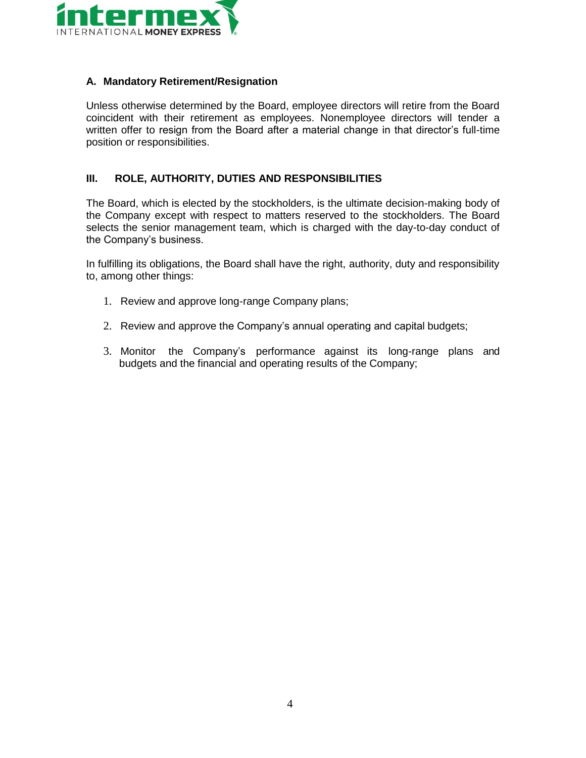

### **A. Mandatory Retirement/Resignation**

Unless otherwise determined by the Board, employee directors will retire from the Board coincident with their retirement as employees. Nonemployee directors will tender a written offer to resign from the Board after a material change in that director's full-time position or responsibilities.

## **III. ROLE, AUTHORITY, DUTIES AND RESPONSIBILITIES**

The Board, which is elected by the stockholders, is the ultimate decision-making body of the Company except with respect to matters reserved to the stockholders. The Board selects the senior management team, which is charged with the day-to-day conduct of the Company's business.

In fulfilling its obligations, the Board shall have the right, authority, duty and responsibility to, among other things:

- 1. Review and approve long-range Company plans;
- 2. Review and approve the Company's annual operating and capital budgets;
- 3. Monitor the Company's performance against its long-range plans and budgets and the financial and operating results of the Company;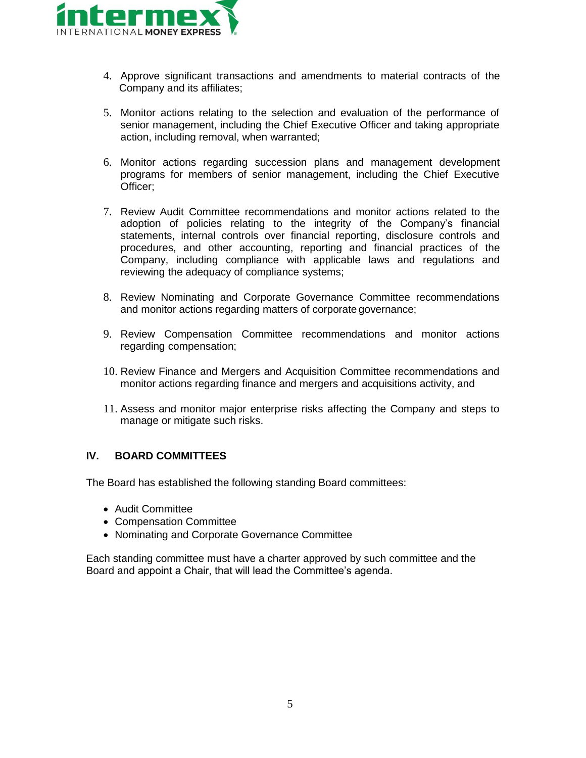

- 4. Approve significant transactions and amendments to material contracts of the Company and its affiliates;
- 5. Monitor actions relating to the selection and evaluation of the performance of senior management, including the Chief Executive Officer and taking appropriate action, including removal, when warranted;
- 6. Monitor actions regarding succession plans and management development programs for members of senior management, including the Chief Executive Officer;
- 7. Review Audit Committee recommendations and monitor actions related to the adoption of policies relating to the integrity of the Company's financial statements, internal controls over financial reporting, disclosure controls and procedures, and other accounting, reporting and financial practices of the Company, including compliance with applicable laws and regulations and reviewing the adequacy of compliance systems;
- 8. Review Nominating and Corporate Governance Committee recommendations and monitor actions regarding matters of corporate governance;
- 9. Review Compensation Committee recommendations and monitor actions regarding compensation;
- 10. Review Finance and Mergers and Acquisition Committee recommendations and monitor actions regarding finance and mergers and acquisitions activity, and
- 11. Assess and monitor major enterprise risks affecting the Company and steps to manage or mitigate such risks.

## **IV. BOARD COMMITTEES**

The Board has established the following standing Board committees:

- Audit Committee
- Compensation Committee
- Nominating and Corporate Governance Committee

Each standing committee must have a charter approved by such committee and the Board and appoint a Chair, that will lead the Committee's agenda.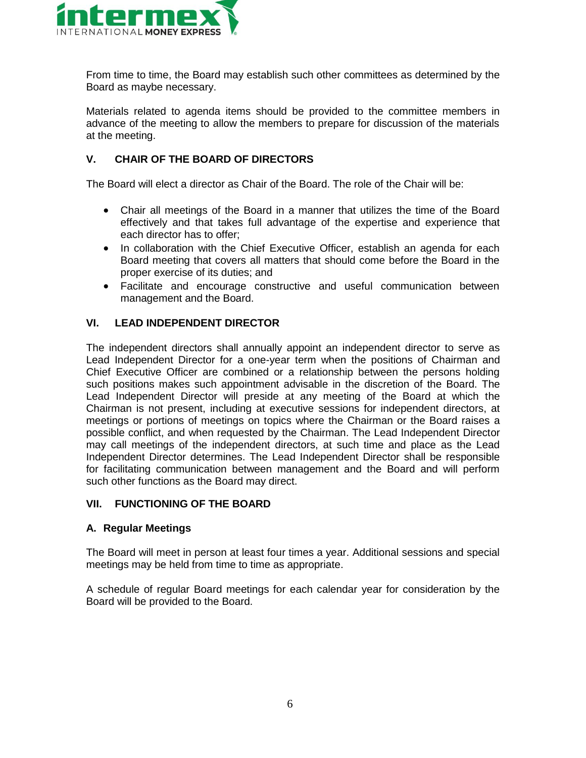

From time to time, the Board may establish such other committees as determined by the Board as maybe necessary.

Materials related to agenda items should be provided to the committee members in advance of the meeting to allow the members to prepare for discussion of the materials at the meeting.

## **V. CHAIR OF THE BOARD OF DIRECTORS**

The Board will elect a director as Chair of the Board. The role of the Chair will be:

- Chair all meetings of the Board in a manner that utilizes the time of the Board effectively and that takes full advantage of the expertise and experience that each director has to offer;
- In collaboration with the Chief Executive Officer, establish an agenda for each Board meeting that covers all matters that should come before the Board in the proper exercise of its duties; and
- Facilitate and encourage constructive and useful communication between management and the Board.

## **VI. LEAD INDEPENDENT DIRECTOR**

The independent directors shall annually appoint an independent director to serve as Lead Independent Director for a one-year term when the positions of Chairman and Chief Executive Officer are combined or a relationship between the persons holding such positions makes such appointment advisable in the discretion of the Board. The Lead Independent Director will preside at any meeting of the Board at which the Chairman is not present, including at executive sessions for independent directors, at meetings or portions of meetings on topics where the Chairman or the Board raises a possible conflict, and when requested by the Chairman. The Lead Independent Director may call meetings of the independent directors, at such time and place as the Lead Independent Director determines. The Lead Independent Director shall be responsible for facilitating communication between management and the Board and will perform such other functions as the Board may direct.

#### **VII. FUNCTIONING OF THE BOARD**

#### **A. Regular Meetings**

The Board will meet in person at least four times a year. Additional sessions and special meetings may be held from time to time as appropriate.

A schedule of regular Board meetings for each calendar year for consideration by the Board will be provided to the Board.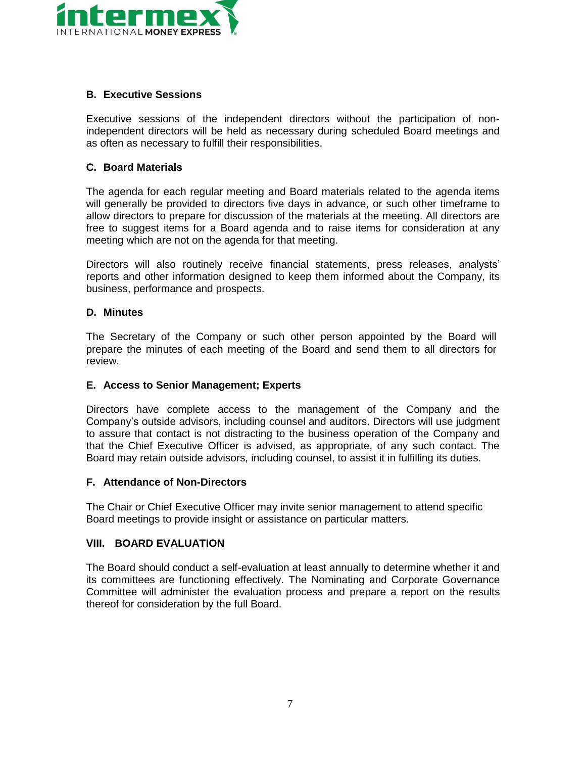

## **B. Executive Sessions**

Executive sessions of the independent directors without the participation of nonindependent directors will be held as necessary during scheduled Board meetings and as often as necessary to fulfill their responsibilities.

### **C. Board Materials**

The agenda for each regular meeting and Board materials related to the agenda items will generally be provided to directors five days in advance, or such other timeframe to allow directors to prepare for discussion of the materials at the meeting. All directors are free to suggest items for a Board agenda and to raise items for consideration at any meeting which are not on the agenda for that meeting.

Directors will also routinely receive financial statements, press releases, analysts' reports and other information designed to keep them informed about the Company, its business, performance and prospects.

### **D. Minutes**

The Secretary of the Company or such other person appointed by the Board will prepare the minutes of each meeting of the Board and send them to all directors for review.

#### **E. Access to Senior Management; Experts**

Directors have complete access to the management of the Company and the Company's outside advisors, including counsel and auditors. Directors will use judgment to assure that contact is not distracting to the business operation of the Company and that the Chief Executive Officer is advised, as appropriate, of any such contact. The Board may retain outside advisors, including counsel, to assist it in fulfilling its duties.

#### **F. Attendance of Non-Directors**

The Chair or Chief Executive Officer may invite senior management to attend specific Board meetings to provide insight or assistance on particular matters.

#### **VIII. BOARD EVALUATION**

The Board should conduct a self-evaluation at least annually to determine whether it and its committees are functioning effectively. The Nominating and Corporate Governance Committee will administer the evaluation process and prepare a report on the results thereof for consideration by the full Board.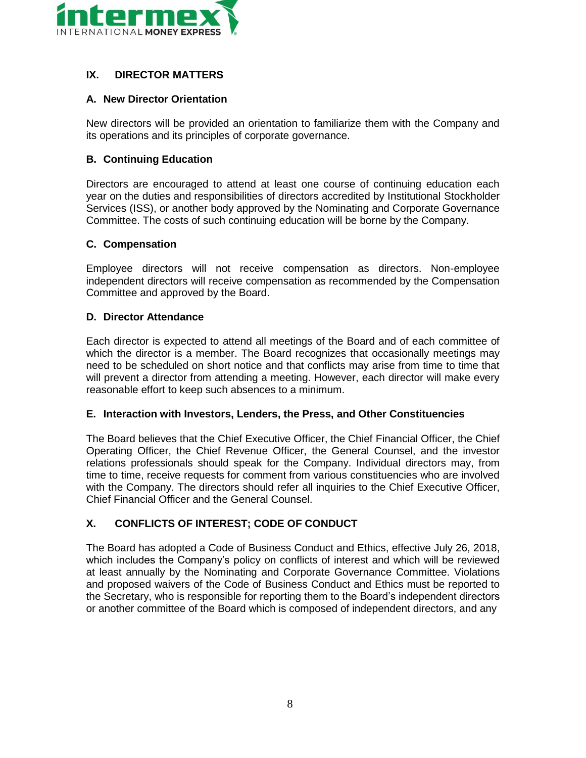

# **IX. DIRECTOR MATTERS**

## **A. New Director Orientation**

New directors will be provided an orientation to familiarize them with the Company and its operations and its principles of corporate governance.

## **B. Continuing Education**

Directors are encouraged to attend at least one course of continuing education each year on the duties and responsibilities of directors accredited by Institutional Stockholder Services (ISS), or another body approved by the Nominating and Corporate Governance Committee. The costs of such continuing education will be borne by the Company.

## **C. Compensation**

Employee directors will not receive compensation as directors. Non-employee independent directors will receive compensation as recommended by the Compensation Committee and approved by the Board.

### **D. Director Attendance**

Each director is expected to attend all meetings of the Board and of each committee of which the director is a member. The Board recognizes that occasionally meetings may need to be scheduled on short notice and that conflicts may arise from time to time that will prevent a director from attending a meeting. However, each director will make every reasonable effort to keep such absences to a minimum.

#### **E. Interaction with Investors, Lenders, the Press, and Other Constituencies**

The Board believes that the Chief Executive Officer, the Chief Financial Officer, the Chief Operating Officer, the Chief Revenue Officer, the General Counsel, and the investor relations professionals should speak for the Company. Individual directors may, from time to time, receive requests for comment from various constituencies who are involved with the Company. The directors should refer all inquiries to the Chief Executive Officer, Chief Financial Officer and the General Counsel.

# **X. CONFLICTS OF INTEREST; CODE OF CONDUCT**

The Board has adopted a Code of Business Conduct and Ethics, effective July 26, 2018, which includes the Company's policy on conflicts of interest and which will be reviewed at least annually by the Nominating and Corporate Governance Committee. Violations and proposed waivers of the Code of Business Conduct and Ethics must be reported to the Secretary, who is responsible for reporting them to the Board's independent directors or another committee of the Board which is composed of independent directors, and any